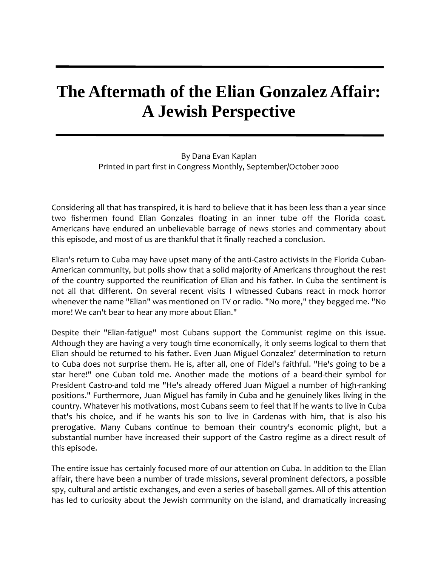## **The Aftermath of the Elian Gonzalez Affair: A Jewish Perspective**

By Dana Evan Kaplan Printed in part first in Congress Monthly, September/October 2000

Considering all that has transpired, it is hard to believe that it has been less than a year since two fishermen found Elian Gonzales floating in an inner tube off the Florida coast. Americans have endured an unbelievable barrage of news stories and commentary about this episode, and most of us are thankful that it finally reached a conclusion.

Elian's return to Cuba may have upset many of the anti-Castro activists in the Florida Cuban-American community, but polls show that a solid majority of Americans throughout the rest of the country supported the reunification of Elian and his father. In Cuba the sentiment is not all that different. On several recent visits I witnessed Cubans react in mock horror whenever the name "Elian" was mentioned on TV or radio. "No more," they begged me. "No more! We can't bear to hear any more about Elian."

Despite their "Elian-fatigue" most Cubans support the Communist regime on this issue. Although they are having a very tough time economically, it only seems logical to them that Elian should be returned to his father. Even Juan Miguel Gonzalez' determination to return to Cuba does not surprise them. He is, after all, one of Fidel's faithful. "He's going to be a star here!" one Cuban told me. Another made the motions of a beard-their symbol for President Castro-and told me "He's already offered Juan Miguel a number of high-ranking positions." Furthermore, Juan Miguel has family in Cuba and he genuinely likes living in the country. Whatever his motivations, most Cubans seem to feel that if he wants to live in Cuba that's his choice, and if he wants his son to live in Cardenas with him, that is also his prerogative. Many Cubans continue to bemoan their country's economic plight, but a substantial number have increased their support of the Castro regime as a direct result of this episode.

The entire issue has certainly focused more of our attention on Cuba. In addition to the Elian affair, there have been a number of trade missions, several prominent defectors, a possible spy, cultural and artistic exchanges, and even a series of baseball games. All of this attention has led to curiosity about the Jewish community on the island, and dramatically increasing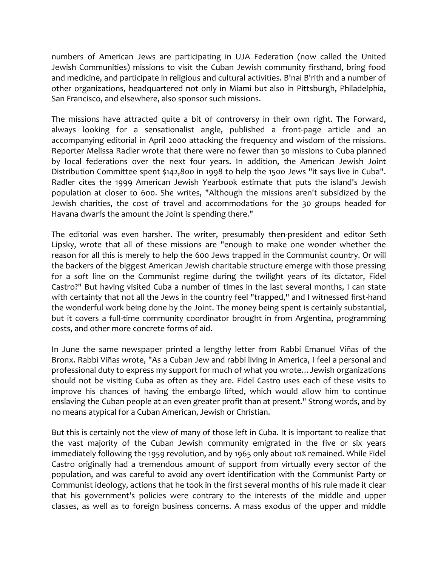numbers of American Jews are participating in UJA Federation (now called the United Jewish Communities) missions to visit the Cuban Jewish community firsthand, bring food and medicine, and participate in religious and cultural activities. B'nai B'rith and a number of other organizations, headquartered not only in Miami but also in Pittsburgh, Philadelphia, San Francisco, and elsewhere, also sponsor such missions.

The missions have attracted quite a bit of controversy in their own right. The Forward, always looking for a sensationalist angle, published a front-page article and an accompanying editorial in April 2000 attacking the frequency and wisdom of the missions. Reporter Melissa Radler wrote that there were no fewer than 30 missions to Cuba planned by local federations over the next four years. In addition, the American Jewish Joint Distribution Committee spent \$142,800 in 1998 to help the 1500 Jews "it says live in Cuba". Radler cites the 1999 American Jewish Yearbook estimate that puts the island's Jewish population at closer to 600. She writes, "Although the missions aren't subsidized by the Jewish charities, the cost of travel and accommodations for the 30 groups headed for Havana dwarfs the amount the Joint is spending there."

The editorial was even harsher. The writer, presumably then-president and editor Seth Lipsky, wrote that all of these missions are "enough to make one wonder whether the reason for all this is merely to help the 600 Jews trapped in the Communist country. Or will the backers of the biggest American Jewish charitable structure emerge with those pressing for a soft line on the Communist regime during the twilight years of its dictator, Fidel Castro?" But having visited Cuba a number of times in the last several months, I can state with certainty that not all the Jews in the country feel "trapped," and I witnessed first-hand the wonderful work being done by the Joint. The money being spent is certainly substantial, but it covers a full-time community coordinator brought in from Argentina, programming costs, and other more concrete forms of aid.

In June the same newspaper printed a lengthy letter from Rabbi Emanuel Viñas of the Bronx. Rabbi Viñas wrote, "As a Cuban Jew and rabbi living in America, I feel a personal and professional duty to express my support for much of what you wrote…Jewish organizations should not be visiting Cuba as often as they are. Fidel Castro uses each of these visits to improve his chances of having the embargo lifted, which would allow him to continue enslaving the Cuban people at an even greater profit than at present." Strong words, and by no means atypical for a Cuban American, Jewish or Christian.

But this is certainly not the view of many of those left in Cuba. It is important to realize that the vast majority of the Cuban Jewish community emigrated in the five or six years immediately following the 1959 revolution, and by 1965 only about 10% remained. While Fidel Castro originally had a tremendous amount of support from virtually every sector of the population, and was careful to avoid any overt identification with the Communist Party or Communist ideology, actions that he took in the first several months of his rule made it clear that his government's policies were contrary to the interests of the middle and upper classes, as well as to foreign business concerns. A mass exodus of the upper and middle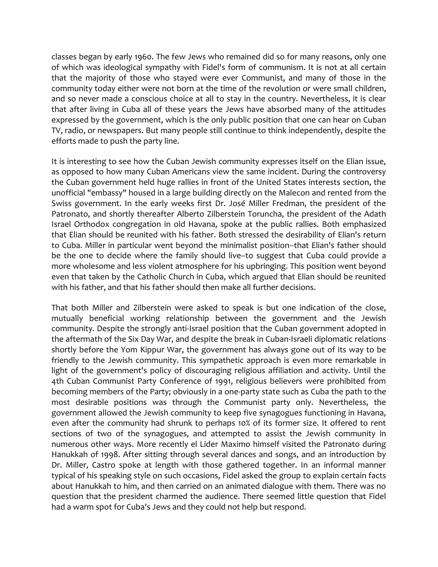classes began by early 1960. The few Jews who remained did so for many reasons, only one of which was ideological sympathy with Fidel's form of communism. It is not at all certain that the majority of those who stayed were ever Communist, and many of those in the community today either were not born at the time of the revolution or were small children, and so never made a conscious choice at all to stay in the country. Nevertheless, it is clear that after living in Cuba all of these years the Jews have absorbed many of the attitudes expressed by the government, which is the only public position that one can hear on Cuban TV, radio, or newspapers. But many people still continue to think independently, despite the efforts made to push the party line.

It is interesting to see how the Cuban Jewish community expresses itself on the Elian issue, as opposed to how many Cuban Americans view the same incident. During the controversy the Cuban government held huge rallies in front of the United States interests section, the unofficial "embassy" housed in a large building directly on the Malecon and rented from the Swiss government. In the early weeks first Dr. José Miller Fredman, the president of the Patronato, and shortly thereafter Alberto Zilberstein Toruncha, the president of the Adath Israel Orthodox congregation in old Havana, spoke at the public rallies. Both emphasized that Elian should be reunited with his father. Both stressed the desirability of Elian's return to Cuba. Miller in particular went beyond the minimalist position--that Elian's father should be the one to decide where the family should live--to suggest that Cuba could provide a more wholesome and less violent atmosphere for his upbringing. This position went beyond even that taken by the Catholic Church in Cuba, which argued that Elian should be reunited with his father, and that his father should then make all further decisions.

That both Miller and Zilberstein were asked to speak is but one indication of the close, mutually beneficial working relationship between the government and the Jewish community. Despite the strongly anti-Israel position that the Cuban government adopted in the aftermath of the Six Day War, and despite the break in Cuban-Israeli diplomatic relations shortly before the Yom Kippur War, the government has always gone out of its way to be friendly to the Jewish community. This sympathetic approach is even more remarkable in light of the government's policy of discouraging religious affiliation and activity. Until the 4th Cuban Communist Party Conference of 1991, religious believers were prohibited from becoming members of the Party; obviously in a one-party state such as Cuba the path to the most desirable positions was through the Communist party only. Nevertheless, the government allowed the Jewish community to keep five synagogues functioning in Havana, even after the community had shrunk to perhaps 10% of its former size. It offered to rent sections of two of the synagogues, and attempted to assist the Jewish community in numerous other ways. More recently el Lider Maximo himself visited the Patronato during Hanukkah of 1998. After sitting through several dances and songs, and an introduction by Dr. Miller, Castro spoke at length with those gathered together. In an informal manner typical of his speaking style on such occasions, Fidel asked the group to explain certain facts about Hanukkah to him, and then carried on an animated dialogue with them. There was no question that the president charmed the audience. There seemed little question that Fidel had a warm spot for Cuba's Jews and they could not help but respond.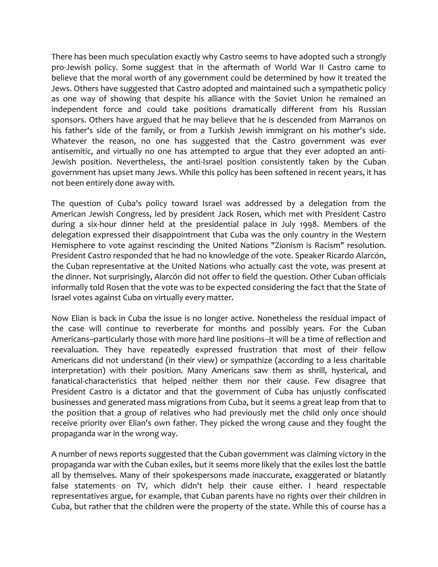There has been much speculation exactly why Castro seems to have adopted such a strongly pro-Jewish policy. Some suggest that in the aftermath of World War II Castro came to believe that the moral worth of any government could be determined by how it treated the Jews. Others have suggested that Castro adopted and maintained such a sympathetic policy as one way of showing that despite his alliance with the Soviet Union he remained an independent force and could take positions dramatically different from his Russian sponsors. Others have argued that he may believe that he is descended from Marranos on his father's side of the family, or from a Turkish Jewish immigrant on his mother's side. Whatever the reason, no one has suggested that the Castro government was ever antisemitic, and virtually no one has attempted to argue that they ever adopted an anti-Jewish position. Nevertheless, the anti-Israel position consistently taken by the Cuban government has upset many Jews. While this policy has been softened in recent years, it has not been entirely done away with.

The question of Cuba's policy toward Israel was addressed by a delegation from the American Jewish Congress, led by president Jack Rosen, which met with President Castro during a six-hour dinner held at the presidential palace in July 1998. Members of the delegation expressed their disappointment that Cuba was the only country in the Western Hemisphere to vote against rescinding the United Nations "Zionism is Racism" resolution. President Castro responded that he had no knowledge of the vote. Speaker Ricardo Alarcón, the Cuban representative at the United Nations who actually cast the vote, was present at the dinner. Not surprisingly, Alarcón did not offer to field the question. Other Cuban officials informally told Rosen that the vote was to be expected considering the fact that the State of Israel votes against Cuba on virtually every matter.

Now Elian is back in Cuba the issue is no longer active. Nonetheless the residual impact of the case will continue to reverberate for months and possibly years. For the Cuban Americans--particularly those with more hard line positions--it will be a time of reflection and reevaluation. They have repeatedly expressed frustration that most of their fellow Americans did not understand (in their view) or sympathize (according to a less charitable interpretation) with their position. Many Americans saw them as shrill, hysterical, and fanatical-characteristics that helped neither them nor their cause. Few disagree that President Castro is a dictator and that the government of Cuba has unjustly confiscated businesses and generated mass migrations from Cuba, but it seems a great leap from that to the position that a group of relatives who had previously met the child only once should receive priority over Elian's own father. They picked the wrong cause and they fought the propaganda war in the wrong way.

A number of news reports suggested that the Cuban government was claiming victory in the propaganda war with the Cuban exiles, but it seems more likely that the exiles lost the battle all by themselves. Many of their spokespersons made inaccurate, exaggerated or blatantly false statements on TV, which didn't help their cause either. I heard respectable representatives argue, for example, that Cuban parents have no rights over their children in Cuba, but rather that the children were the property of the state. While this of course has a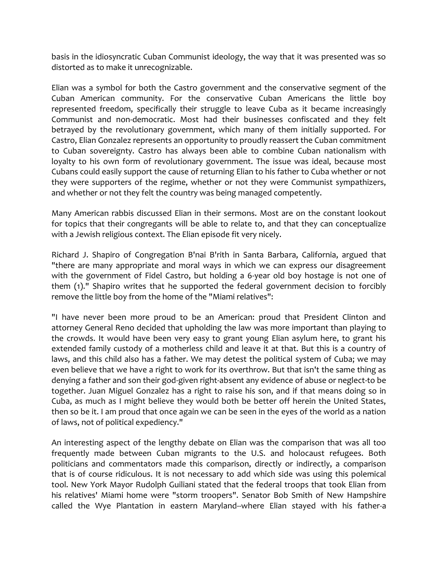basis in the idiosyncratic Cuban Communist ideology, the way that it was presented was so distorted as to make it unrecognizable.

Elian was a symbol for both the Castro government and the conservative segment of the Cuban American community. For the conservative Cuban Americans the little boy represented freedom, specifically their struggle to leave Cuba as it became increasingly Communist and non-democratic. Most had their businesses confiscated and they felt betrayed by the revolutionary government, which many of them initially supported. For Castro, Elian Gonzalez represents an opportunity to proudly reassert the Cuban commitment to Cuban sovereignty. Castro has always been able to combine Cuban nationalism with loyalty to his own form of revolutionary government. The issue was ideal, because most Cubans could easily support the cause of returning Elian to his father to Cuba whether or not they were supporters of the regime, whether or not they were Communist sympathizers, and whether or not they felt the country was being managed competently.

Many American rabbis discussed Elian in their sermons. Most are on the constant lookout for topics that their congregants will be able to relate to, and that they can conceptualize with a Jewish religious context. The Elian episode fit very nicely.

Richard J. Shapiro of Congregation B'nai B'rith in Santa Barbara, California, argued that "there are many appropriate and moral ways in which we can express our disagreement with the government of Fidel Castro, but holding a 6-year old boy hostage is not one of them (1)." Shapiro writes that he supported the federal government decision to forcibly remove the little boy from the home of the "Miami relatives":

"I have never been more proud to be an American: proud that President Clinton and attorney General Reno decided that upholding the law was more important than playing to the crowds. It would have been very easy to grant young Elian asylum here, to grant his extended family custody of a motherless child and leave it at that. But this is a country of laws, and this child also has a father. We may detest the political system of Cuba; we may even believe that we have a right to work for its overthrow. But that isn't the same thing as denying a father and son their god-given right-absent any evidence of abuse or neglect-to be together. Juan Miguel Gonzalez has a right to raise his son, and if that means doing so in Cuba, as much as I might believe they would both be better off herein the United States, then so be it. I am proud that once again we can be seen in the eyes of the world as a nation of laws, not of political expediency."

An interesting aspect of the lengthy debate on Elian was the comparison that was all too frequently made between Cuban migrants to the U.S. and holocaust refugees. Both politicians and commentators made this comparison, directly or indirectly, a comparison that is of course ridiculous. It is not necessary to add which side was using this polemical tool. New York Mayor Rudolph Guiliani stated that the federal troops that took Elian from his relatives' Miami home were "storm troopers". Senator Bob Smith of New Hampshire called the Wye Plantation in eastern Maryland--where Elian stayed with his father-a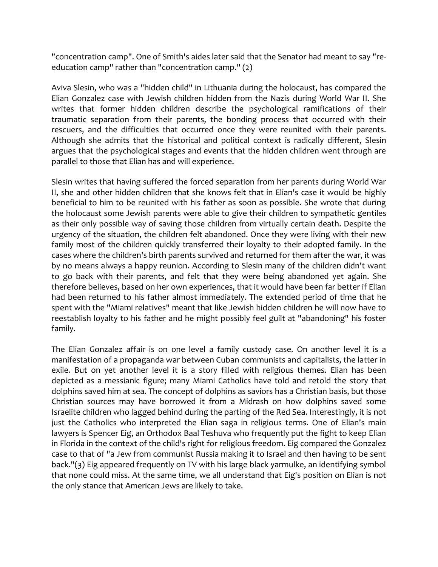"concentration camp". One of Smith's aides later said that the Senator had meant to say "reeducation camp" rather than "concentration camp." (2)

Aviva Slesin, who was a "hidden child" in Lithuania during the holocaust, has compared the Elian Gonzalez case with Jewish children hidden from the Nazis during World War II. She writes that former hidden children describe the psychological ramifications of their traumatic separation from their parents, the bonding process that occurred with their rescuers, and the difficulties that occurred once they were reunited with their parents. Although she admits that the historical and political context is radically different, Slesin argues that the psychological stages and events that the hidden children went through are parallel to those that Elian has and will experience.

Slesin writes that having suffered the forced separation from her parents during World War II, she and other hidden children that she knows felt that in Elian's case it would be highly beneficial to him to be reunited with his father as soon as possible. She wrote that during the holocaust some Jewish parents were able to give their children to sympathetic gentiles as their only possible way of saving those children from virtually certain death. Despite the urgency of the situation, the children felt abandoned. Once they were living with their new family most of the children quickly transferred their loyalty to their adopted family. In the cases where the children's birth parents survived and returned for them after the war, it was by no means always a happy reunion. According to Slesin many of the children didn't want to go back with their parents, and felt that they were being abandoned yet again. She therefore believes, based on her own experiences, that it would have been far better if Elian had been returned to his father almost immediately. The extended period of time that he spent with the "Miami relatives" meant that like Jewish hidden children he will now have to reestablish loyalty to his father and he might possibly feel guilt at "abandoning" his foster family.

The Elian Gonzalez affair is on one level a family custody case. On another level it is a manifestation of a propaganda war between Cuban communists and capitalists, the latter in exile. But on yet another level it is a story filled with religious themes. Elian has been depicted as a messianic figure; many Miami Catholics have told and retold the story that dolphins saved him at sea. The concept of dolphins as saviors has a Christian basis, but those Christian sources may have borrowed it from a Midrash on how dolphins saved some Israelite children who lagged behind during the parting of the Red Sea. Interestingly, it is not just the Catholics who interpreted the Elian saga in religious terms. One of Elian's main lawyers is Spencer Eig, an Orthodox Baal Teshuva who frequently put the fight to keep Elian in Florida in the context of the child's right for religious freedom. Eig compared the Gonzalez case to that of "a Jew from communist Russia making it to Israel and then having to be sent back."(3) Eig appeared frequently on TV with his large black yarmulke, an identifying symbol that none could miss. At the same time, we all understand that Eig's position on Elian is not the only stance that American Jews are likely to take.